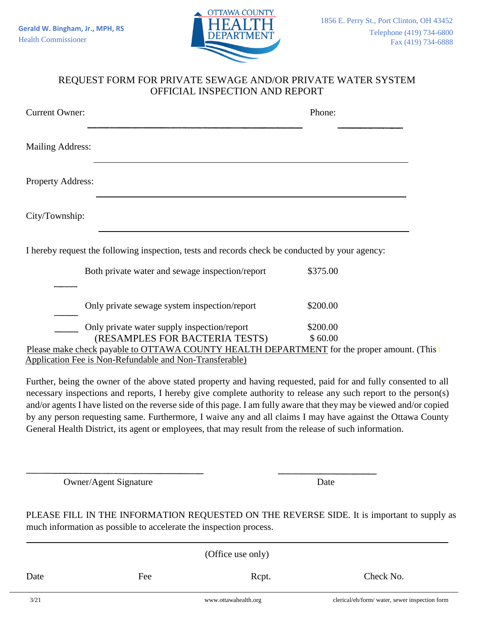

## REQUEST FORM FOR PRIVATE SEWAGE AND/OR PRIVATE WATER SYSTEM OFFICIAL INSPECTION AND REPORT

| <b>Current Owner:</b>    |                                                                                                 | Phone:   |
|--------------------------|-------------------------------------------------------------------------------------------------|----------|
| <b>Mailing Address:</b>  |                                                                                                 |          |
| <b>Property Address:</b> |                                                                                                 |          |
| City/Township:           |                                                                                                 |          |
|                          | I hereby request the following inspection, tests and records check be conducted by your agency: |          |
|                          | Both private water and sewage inspection/report                                                 | \$375.00 |
|                          | Only private sewage system inspection/report                                                    | \$200.00 |
|                          | Only private water supply inspection/report                                                     | \$200.00 |
|                          | (RESAMPLES FOR BACTERIA TESTS)                                                                  | \$60.00  |
|                          | Please make check payable to OTTAWA COUNTY HEALTH DEPARTMENT for the proper amount. (This       |          |

Application Fee is Non-Refundable and Non-Transferable)

Further, being the owner of the above stated property and having requested, paid for and fully consented to all necessary inspections and reports, I hereby give complete authority to release any such report to the person(s) and/or agents I have listed on the reverse side of this page. I am fully aware that they may be viewed and/or copied by any person requesting same. Furthermore, I waive any and all claims I may have against the Ottawa County General Health District, its agent or employees, that may result from the release of such information.

Owner/Agent Signature Date

PLEASE FILL IN THE INFORMATION REQUESTED ON THE REVERSE SIDE. It is important to supply as much information as possible to accelerate the inspection process.

| (Office use only) |     |                      |                                                |  |  |  |
|-------------------|-----|----------------------|------------------------------------------------|--|--|--|
| Date              | Fee | Rcpt.                | Check No.                                      |  |  |  |
| 3/21              |     | www.ottawahealth.org | clerical/eh/form/ water, sewer inspection form |  |  |  |